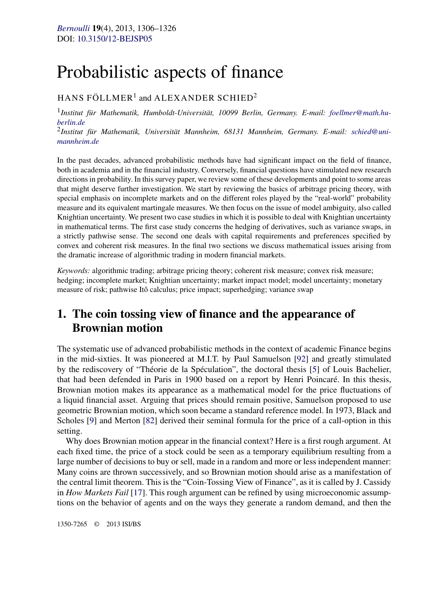# Probabilistic aspects of finance

#### HANS FÖLLMER<sup>1</sup> and ALEXANDER SCHIED<sup>2</sup>

<sup>1</sup>*Institut für Mathematik, Humboldt-Universität, 10099 Berlin, Germany. E-mail: [foellmer@math.hu](mailto:foellmer@math.hu-berlin.de)[berlin.de](mailto:foellmer@math.hu-berlin.de)* <sup>2</sup>*Institut für Mathematik, Universität Mannheim, 68131 Mannheim, Germany. E-mail: [schied@uni](mailto:schied@uni-mannheim.de)[mannheim.de](mailto:schied@uni-mannheim.de)*

In the past decades, advanced probabilistic methods have had significant impact on the field of finance, both in academia and in the financial industry. Conversely, financial questions have stimulated new research directions in probability. In this survey paper, we review some of these developments and point to some areas that might deserve further investigation. We start by reviewing the basics of arbitrage pricing theory, with special emphasis on incomplete markets and on the different roles played by the "real-world" probability measure and its equivalent martingale measures. We then focus on the issue of model ambiguity, also called Knightian uncertainty. We present two case studies in which it is possible to deal with Knightian uncertainty in mathematical terms. The first case study concerns the hedging of derivatives, such as variance swaps, in a strictly pathwise sense. The second one deals with capital requirements and preferences specified by convex and coherent risk measures. In the final two sections we discuss mathematical issues arising from the dramatic increase of algorithmic trading in modern financial markets.

*Keywords:* algorithmic trading; arbitrage pricing theory; coherent risk measure; convex risk measure; hedging; incomplete market; Knightian uncertainty; market impact model; model uncertainty; monetary measure of risk; pathwise Itô calculus; price impact; superhedging; variance swap

# **1. The coin tossing view of finance and the appearance of Brownian motion**

The systematic use of advanced probabilistic methods in the context of academic Finance begins in the mid-sixties. It was pioneered at M.I.T. by Paul Samuelson [\[92\]](#page-19-0) and greatly stimulated by the rediscovery of "Théorie de la Spéculation", the doctoral thesis [\[5\]](#page-15-0) of Louis Bachelier, that had been defended in Paris in 1900 based on a report by Henri Poincaré. In this thesis, Brownian motion makes its appearance as a mathematical model for the price fluctuations of a liquid financial asset. Arguing that prices should remain positive, Samuelson proposed to use geometric Brownian motion, which soon became a standard reference model. In 1973, Black and Scholes [\[9\]](#page-16-0) and Merton [\[82\]](#page-19-0) derived their seminal formula for the price of a call-option in this setting.

Why does Brownian motion appear in the financial context? Here is a first rough argument. At each fixed time, the price of a stock could be seen as a temporary equilibrium resulting from a large number of decisions to buy or sell, made in a random and more or less independent manner: Many coins are thrown successively, and so Brownian motion should arise as a manifestation of the central limit theorem. This is the "Coin-Tossing View of Finance", as it is called by J. Cassidy in *How Markets Fail* [\[17\]](#page-16-0). This rough argument can be refined by using microeconomic assumptions on the behavior of agents and on the ways they generate a random demand, and then the

1350-7265 © 2013 ISI/BS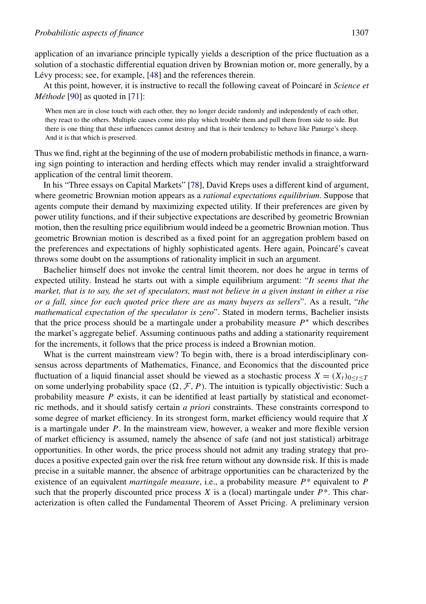#### *Probabilistic aspects of finance* 1307

application of an invariance principle typically yields a description of the price fluctuation as a solution of a stochastic differential equation driven by Brownian motion or, more generally, by a Lévy process; see, for example, [\[48\]](#page-17-0) and the references therein.

At this point, however, it is instructive to recall the following caveat of Poincaré in *Science et Méthode* [\[90\]](#page-19-0) as quoted in [\[71\]](#page-18-0):

When men are in close touch with each other, they no longer decide randomly and independently of each other, they react to the others. Multiple causes come into play which trouble them and pull them from side to side. But there is one thing that these influences cannot destroy and that is their tendency to behave like Panurge's sheep. And it is that which is preserved.

Thus we find, right at the beginning of the use of modern probabilistic methods in finance, a warning sign pointing to interaction and herding effects which may render invalid a straightforward application of the central limit theorem.

In his "Three essays on Capital Markets" [\[78\]](#page-19-0), David Kreps uses a different kind of argument, where geometric Brownian motion appears as a *rational expectations equilibrium*. Suppose that agents compute their demand by maximizing expected utility. If their preferences are given by power utility functions, and if their subjective expectations are described by geometric Brownian motion, then the resulting price equilibrium would indeed be a geometric Brownian motion. Thus geometric Brownian motion is described as a fixed point for an aggregation problem based on the preferences and expectations of highly sophisticated agents. Here again, Poincaré's caveat throws some doubt on the assumptions of rationality implicit in such an argument.

Bachelier himself does not invoke the central limit theorem, nor does he argue in terms of expected utility. Instead he starts out with a simple equilibrium argument: "*It seems that the market, that is to say, the set of speculators, must not believe in a given instant in either a rise or a fall, since for each quoted price there are as many buyers as sellers*". As a result, "*the mathematical expectation of the speculator is zero*". Stated in modern terms, Bachelier insists that the price process should be a martingale under a probability measure *P*<sup>∗</sup> which describes the market's aggregate belief. Assuming continuous paths and adding a stationarity requirement for the increments, it follows that the price process is indeed a Brownian motion.

What is the current mainstream view? To begin with, there is a broad interdisciplinary consensus across departments of Mathematics, Finance, and Economics that the discounted price fluctuation of a liquid financial asset should be viewed as a stochastic process  $X = (X_t)_{0 \le t \le T}$ on some underlying probability space  $(\Omega, \mathcal{F}, P)$ . The intuition is typically objectivistic: Such a probability measure *P* exists, it can be identified at least partially by statistical and econometric methods, and it should satisfy certain *a priori* constraints. These constraints correspond to some degree of market efficiency. In its strongest form, market efficiency would require that *X* is a martingale under *P*. In the mainstream view, however, a weaker and more flexible version of market efficiency is assumed, namely the absence of safe (and not just statistical) arbitrage opportunities. In other words, the price process should not admit any trading strategy that produces a positive expected gain over the risk free return without any downside risk. If this is made precise in a suitable manner, the absence of arbitrage opportunities can be characterized by the existence of an equivalent *martingale measure*, i.e., a probability measure  $P^*$  equivalent to  $P$ such that the properly discounted price process  $X$  is a (local) martingale under  $P^*$ . This characterization is often called the Fundamental Theorem of Asset Pricing. A preliminary version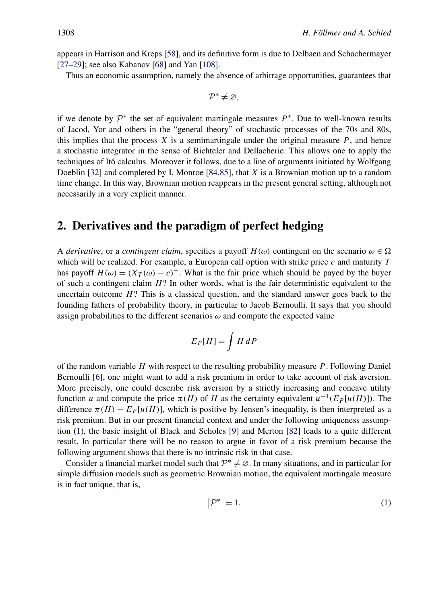<span id="page-2-0"></span>appears in Harrison and Kreps [\[58\]](#page-18-0), and its definitive form is due to Delbaen and Schachermayer [\[27–29\]](#page-16-0); see also Kabanov [\[68\]](#page-18-0) and Yan [\[108\]](#page-20-0).

Thus an economic assumption, namely the absence of arbitrage opportunities, guarantees that

$$
\mathcal{P}^*\neq \varnothing,
$$

if we denote by  $\mathcal{P}^*$  the set of equivalent martingale measures  $P^*$ . Due to well-known results of Jacod, Yor and others in the "general theory" of stochastic processes of the 70s and 80s, this implies that the process  $X$  is a semimartingale under the original measure  $P$ , and hence a stochastic integrator in the sense of Bichteler and Dellacherie. This allows one to apply the techniques of Itô calculus. Moreover it follows, due to a line of arguments initiated by Wolfgang Doeblin [\[32\]](#page-17-0) and completed by I. Monroe [\[84,85\]](#page-19-0), that *X* is a Brownian motion up to a random time change. In this way, Brownian motion reappears in the present general setting, although not necessarily in a very explicit manner.

## **2. Derivatives and the paradigm of perfect hedging**

A *derivative*, or a *contingent claim*, specifies a payoff  $H(\omega)$  contingent on the scenario  $\omega \in \Omega$ which will be realized. For example, a European call option with strike price *c* and maturity *T* has payoff  $H(\omega) = (X_T(\omega) - c)^+$ . What is the fair price which should be payed by the buyer of such a contingent claim *H*? In other words, what is the fair deterministic equivalent to the uncertain outcome  $H$ ? This is a classical question, and the standard answer goes back to the founding fathers of probability theory, in particular to Jacob Bernoulli. It says that you should assign probabilities to the different scenarios  $\omega$  and compute the expected value

$$
E_P[H] = \int H \, dP
$$

of the random variable *H* with respect to the resulting probability measure *P* . Following Daniel Bernoulli [\[6\]](#page-16-0), one might want to add a risk premium in order to take account of risk aversion. More precisely, one could describe risk aversion by a strictly increasing and concave utility function *u* and compute the price  $\pi(H)$  of *H* as the certainty equivalent  $u^{-1}(E_P[u(H)])$ . The difference  $\pi(H) - E_P[u(H)]$ , which is positive by Jensen's inequality, is then interpreted as a risk premium. But in our present financial context and under the following uniqueness assumption (1), the basic insight of Black and Scholes [\[9\]](#page-16-0) and Merton [\[82\]](#page-19-0) leads to a quite different result. In particular there will be no reason to argue in favor of a risk premium because the following argument shows that there is no intrinsic risk in that case.

Consider a financial market model such that  $\mathcal{P}^* \neq \emptyset$ . In many situations, and in particular for simple diffusion models such as geometric Brownian motion, the equivalent martingale measure is in fact unique, that is,

$$
|\mathcal{P}^*| = 1. \tag{1}
$$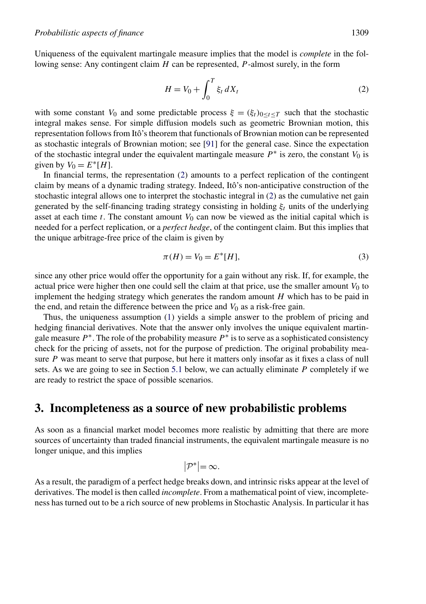<span id="page-3-0"></span>Uniqueness of the equivalent martingale measure implies that the model is *complete* in the following sense: Any contingent claim *H* can be represented, *P* -almost surely, in the form

$$
H = V_0 + \int_0^T \xi_t \, dX_t \tag{2}
$$

with some constant  $V_0$  and some predictable process  $\xi = (\xi_t)_{0 \le t \le T}$  such that the stochastic integral makes sense. For simple diffusion models such as geometric Brownian motion, this representation follows from Itô's theorem that functionals of Brownian motion can be represented as stochastic integrals of Brownian motion; see [\[91\]](#page-19-0) for the general case. Since the expectation of the stochastic integral under the equivalent martingale measure  $P^*$  is zero, the constant  $V_0$  is given by  $V_0 = E^*[H]$ .

In financial terms, the representation (2) amounts to a perfect replication of the contingent claim by means of a dynamic trading strategy. Indeed, Itô's non-anticipative construction of the stochastic integral allows one to interpret the stochastic integral in (2) as the cumulative net gain generated by the self-financing trading strategy consisting in holding  $\xi_t$  units of the underlying asset at each time  $t$ . The constant amount  $V_0$  can now be viewed as the initial capital which is needed for a perfect replication, or a *perfect hedge*, of the contingent claim. But this implies that the unique arbitrage-free price of the claim is given by

$$
\pi(H) = V_0 = E^*[H],\tag{3}
$$

since any other price would offer the opportunity for a gain without any risk. If, for example, the actual price were higher then one could sell the claim at that price, use the smaller amount  $V_0$  to implement the hedging strategy which generates the random amount *H* which has to be paid in the end, and retain the difference between the price and  $V_0$  as a risk-free gain.

Thus, the uniqueness assumption [\(1\)](#page-2-0) yields a simple answer to the problem of pricing and hedging financial derivatives. Note that the answer only involves the unique equivalent martingale measure  $P^*$ . The role of the probability measure  $P^*$  is to serve as a sophisticated consistency check for the pricing of assets, not for the purpose of prediction. The original probability measure *P* was meant to serve that purpose, but here it matters only insofar as it fixes a class of null sets. As we are going to see in Section [5.1](#page-8-0) below, we can actually eliminate *P* completely if we are ready to restrict the space of possible scenarios.

#### **3. Incompleteness as a source of new probabilistic problems**

As soon as a financial market model becomes more realistic by admitting that there are more sources of uncertainty than traded financial instruments, the equivalent martingale measure is no longer unique, and this implies

$$
|\mathcal{P}^*| = \infty.
$$

As a result, the paradigm of a perfect hedge breaks down, and intrinsic risks appear at the level of derivatives. The model is then called *incomplete*. From a mathematical point of view, incompleteness has turned out to be a rich source of new problems in Stochastic Analysis. In particular it has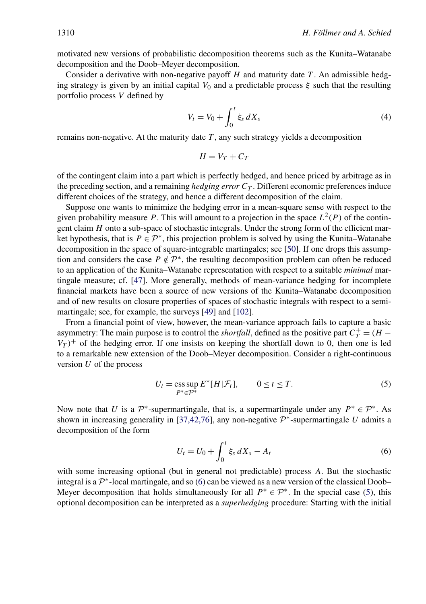<span id="page-4-0"></span>motivated new versions of probabilistic decomposition theorems such as the Kunita–Watanabe decomposition and the Doob–Meyer decomposition.

Consider a derivative with non-negative payoff *H* and maturity date *T* . An admissible hedging strategy is given by an initial capital  $V_0$  and a predictable process  $\xi$  such that the resulting portfolio process *V* defined by

$$
V_t = V_0 + \int_0^t \xi_s \, dX_s \tag{4}
$$

remains non-negative. At the maturity date *T* , any such strategy yields a decomposition

$$
H = V_T + C_T
$$

of the contingent claim into a part which is perfectly hedged, and hence priced by arbitrage as in the preceding section, and a remaining *hedging error*  $C_T$ . Different economic preferences induce different choices of the strategy, and hence a different decomposition of the claim.

Suppose one wants to minimize the hedging error in a mean-square sense with respect to the given probability measure *P*. This will amount to a projection in the space  $L^2(P)$  of the contingent claim *H* onto a sub-space of stochastic integrals. Under the strong form of the efficient market hypothesis, that is  $P \in \mathcal{P}^*$ , this projection problem is solved by using the Kunita–Watanabe decomposition in the space of square-integrable martingales; see [\[50\]](#page-17-0). If one drops this assumption and considers the case  $P \notin \mathcal{P}^*$ , the resulting decomposition problem can often be reduced to an application of the Kunita–Watanabe representation with respect to a suitable *minimal* martingale measure; cf. [\[47\]](#page-17-0). More generally, methods of mean-variance hedging for incomplete financial markets have been a source of new versions of the Kunita–Watanabe decomposition and of new results on closure properties of spaces of stochastic integrals with respect to a semimartingale; see, for example, the surveys [\[49\]](#page-17-0) and [\[102\]](#page-20-0).

From a financial point of view, however, the mean-variance approach fails to capture a basic asymmetry: The main purpose is to control the *shortfall*, defined as the positive part  $C_T^+ = (H V_T$ <sup>+</sup> of the hedging error. If one insists on keeping the shortfall down to 0, then one is led to a remarkable new extension of the Doob–Meyer decomposition. Consider a right-continuous version *U* of the process

$$
U_t = \operatorname*{ess\,sup}_{P^* \in \mathcal{P}^*} E^*[H|\mathcal{F}_t], \qquad 0 \le t \le T. \tag{5}
$$

Now note that *U* is a  $\mathcal{P}^*$ -supermartingale, that is, a supermartingale under any  $P^* \in \mathcal{P}^*$ . As shown in increasing generality in [\[37,42,76\]](#page-17-0), any non-negative  $\mathcal{P}^*$ -supermartingale *U* admits a decomposition of the form

$$
U_t = U_0 + \int_0^t \xi_s \, dX_s - A_t \tag{6}
$$

with some increasing optional (but in general not predictable) process *A*. But the stochastic integral is a  $\mathcal{P}^*$ -local martingale, and so (6) can be viewed as a new version of the classical Doob– Meyer decomposition that holds simultaneously for all  $P^* \in \mathcal{P}^*$ . In the special case (5), this optional decomposition can be interpreted as a *superhedging* procedure: Starting with the initial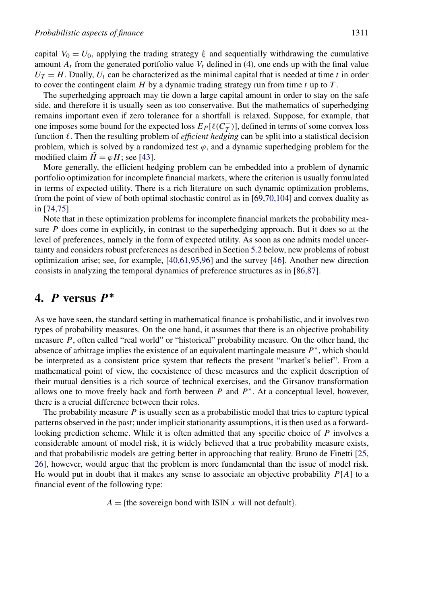capital  $V_0 = U_0$ , applying the trading strategy  $\xi$  and sequentially withdrawing the cumulative amount  $A_t$  from the generated portfolio value  $V_t$  defined in [\(4\)](#page-4-0), one ends up with the final value  $U_T = H$ . Dually,  $U_t$  can be characterized as the minimal capital that is needed at time *t* in order to cover the contingent claim *H* by a dynamic trading strategy run from time *t* up to *T* .

The superhedging approach may tie down a large capital amount in order to stay on the safe side, and therefore it is usually seen as too conservative. But the mathematics of superhedging remains important even if zero tolerance for a shortfall is relaxed. Suppose, for example, that one imposes some bound for the expected loss  $E_P[\ell(C_T^+)]$ , defined in terms of some convex loss function  $\ell$ . Then the resulting problem of *efficient hedging* can be split into a statistical decision problem, which is solved by a randomized test  $\varphi$ , and a dynamic superhedging problem for the modified claim  $H = \varphi H$ ; see [\[43\]](#page-17-0).

More generally, the efficient hedging problem can be embedded into a problem of dynamic portfolio optimization for incomplete financial markets, where the criterion is usually formulated in terms of expected utility. There is a rich literature on such dynamic optimization problems, from the point of view of both optimal stochastic control as in [\[69,70,104\]](#page-18-0) and convex duality as in [\[74,75\]](#page-18-0)

Note that in these optimization problems for incomplete financial markets the probability measure *P* does come in explicitly, in contrast to the superhedging approach. But it does so at the level of preferences, namely in the form of expected utility. As soon as one admits model uncertainty and considers robust preferences as described in Section [5.2](#page-11-0) below, new problems of robust optimization arise; see, for example, [\[40,61,95,96\]](#page-17-0) and the survey [\[46\]](#page-17-0). Another new direction consists in analyzing the temporal dynamics of preference structures as in [\[86,87\]](#page-19-0).

# **4.** *P* **versus** *P***∗**

As we have seen, the standard setting in mathematical finance is probabilistic, and it involves two types of probability measures. On the one hand, it assumes that there is an objective probability measure *P*, often called "real world" or "historical" probability measure. On the other hand, the absence of arbitrage implies the existence of an equivalent martingale measure *P*∗, which should be interpreted as a consistent price system that reflects the present "market's belief". From a mathematical point of view, the coexistence of these measures and the explicit description of their mutual densities is a rich source of technical exercises, and the Girsanov transformation allows one to move freely back and forth between *P* and *P*∗. At a conceptual level, however, there is a crucial difference between their roles.

The probability measure *P* is usually seen as a probabilistic model that tries to capture typical patterns observed in the past; under implicit stationarity assumptions, it is then used as a forwardlooking prediction scheme. While it is often admitted that any specific choice of *P* involves a considerable amount of model risk, it is widely believed that a true probability measure exists, and that probabilistic models are getting better in approaching that reality. Bruno de Finetti [\[25,](#page-16-0) [26\]](#page-16-0), however, would argue that the problem is more fundamental than the issue of model risk. He would put in doubt that it makes any sense to associate an objective probability *P*[*A*] to a financial event of the following type:

 $A =$ {the sovereign bond with ISIN *x* will not default}.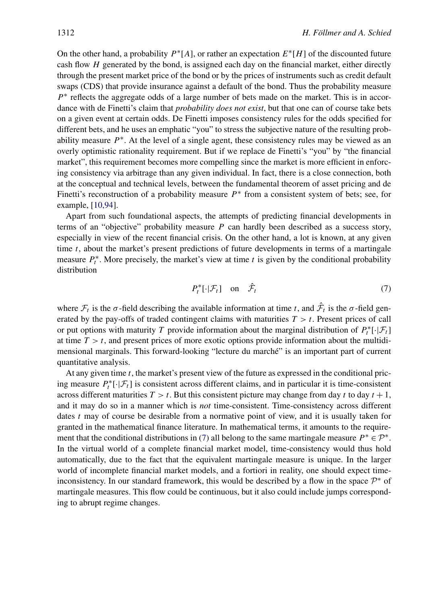On the other hand, a probability *P*∗[*A*], or rather an expectation *E*∗[*H*] of the discounted future cash flow *H* generated by the bond, is assigned each day on the financial market, either directly through the present market price of the bond or by the prices of instruments such as credit default swaps (CDS) that provide insurance against a default of the bond. Thus the probability measure *P*<sup>∗</sup> reflects the aggregate odds of a large number of bets made on the market. This is in accordance with de Finetti's claim that *probability does not exist*, but that one can of course take bets on a given event at certain odds. De Finetti imposes consistency rules for the odds specified for different bets, and he uses an emphatic "you" to stress the subjective nature of the resulting probability measure *P*∗. At the level of a single agent, these consistency rules may be viewed as an overly optimistic rationality requirement. But if we replace de Finetti's "you" by "the financial market", this requirement becomes more compelling since the market is more efficient in enforcing consistency via arbitrage than any given individual. In fact, there is a close connection, both at the conceptual and technical levels, between the fundamental theorem of asset pricing and de Finetti's reconstruction of a probability measure *P*<sup>∗</sup> from a consistent system of bets; see, for example, [\[10,94\]](#page-16-0).

Apart from such foundational aspects, the attempts of predicting financial developments in terms of an "objective" probability measure *P* can hardly been described as a success story, especially in view of the recent financial crisis. On the other hand, a lot is known, at any given time *t*, about the market's present predictions of future developments in terms of a martingale measure  $P_t^*$ . More precisely, the market's view at time *t* is given by the conditional probability distribution

$$
P_t^*[\cdot|\mathcal{F}_t] \quad \text{on} \quad \hat{\mathcal{F}}_t \tag{7}
$$

where  $\mathcal{F}_t$  is the  $\sigma$ -field describing the available information at time *t*, and  $\hat{\mathcal{F}}_t$  is the  $\sigma$ -field generated by the pay-offs of traded contingent claims with maturities  $T > t$ . Present prices of call or put options with maturity *T* provide information about the marginal distribution of  $P_t^*[\cdot | \mathcal{F}_t]$ at time  $T > t$ , and present prices of more exotic options provide information about the multidimensional marginals. This forward-looking "lecture du marché" is an important part of current quantitative analysis.

At any given time *t*, the market's present view of the future as expressed in the conditional pricing measure  $P_t^*[\cdot|\mathcal{F}_t]$  is consistent across different claims, and in particular it is time-consistent across different maturities  $T > t$ . But this consistent picture may change from day t to day  $t + 1$ , and it may do so in a manner which is *not* time-consistent. Time-consistency across different dates *t* may of course be desirable from a normative point of view, and it is usually taken for granted in the mathematical finance literature. In mathematical terms, it amounts to the requirement that the conditional distributions in (7) all belong to the same martingale measure  $P^* \in \mathcal{P}^*$ . In the virtual world of a complete financial market model, time-consistency would thus hold automatically, due to the fact that the equivalent martingale measure is unique. In the larger world of incomplete financial market models, and a fortiori in reality, one should expect timeinconsistency. In our standard framework, this would be described by a flow in the space  $\mathcal{P}^*$  of martingale measures. This flow could be continuous, but it also could include jumps corresponding to abrupt regime changes.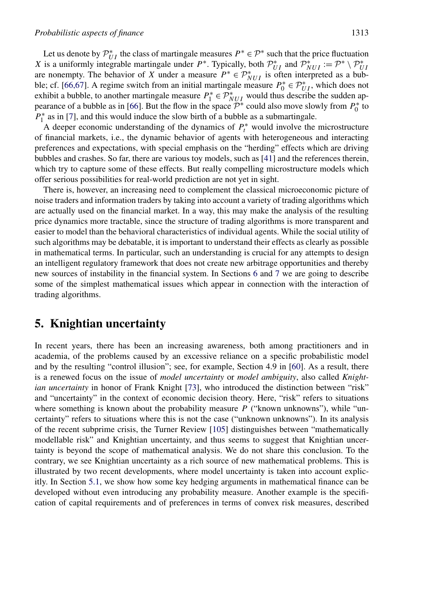Let us denote by  $\mathcal{P}_{UI}^*$  the class of martingale measures  $P^* \in \mathcal{P}^*$  such that the price fluctuation *X* is a uniformly integrable martingale under *P*<sup>∗</sup>. Typically, both  $\mathcal{P}_{UI}^*$  and  $\mathcal{P}_{NUI}^* := \mathcal{P}^* \setminus \mathcal{P}_{UI}^*$ are nonempty. The behavior of *X* under a measure  $P^* \in \mathcal{P}_{NUI}^*$  is often interpreted as a bub-ble; cf. [\[66,67\]](#page-18-0). A regime switch from an initial martingale measure  $P_0^* \in \mathcal{P}_{U,I}^*$ , which does not exhibit a bubble, to another martingale measure  $P_1^* \in \mathcal{P}_{NUI}^*$  would thus describe the sudden ap-pearance of a bubble as in [\[66\]](#page-18-0). But the flow in the space  $\mathcal{P}^*$  could also move slowly from  $P_0^*$  to *P*<sup>∗</sup></sup> as in [\[7\]](#page-16-0), and this would induce the slow birth of a bubble as a submartingale.

A deeper economic understanding of the dynamics of  $P_t^*$  would involve the microstructure of financial markets, i.e., the dynamic behavior of agents with heterogeneous and interacting preferences and expectations, with special emphasis on the "herding" effects which are driving bubbles and crashes. So far, there are various toy models, such as [\[41\]](#page-17-0) and the references therein, which try to capture some of these effects. But really compelling microstructure models which offer serious possibilities for real-world prediction are not yet in sight.

There is, however, an increasing need to complement the classical microeconomic picture of noise traders and information traders by taking into account a variety of trading algorithms which are actually used on the financial market. In a way, this may make the analysis of the resulting price dynamics more tractable, since the structure of trading algorithms is more transparent and easier to model than the behavioral characteristics of individual agents. While the social utility of such algorithms may be debatable, it is important to understand their effects as clearly as possible in mathematical terms. In particular, such an understanding is crucial for any attempts to design an intelligent regulatory framework that does not create new arbitrage opportunities and thereby new sources of instability in the financial system. In Sections [6](#page-13-0) and [7](#page-14-0) we are going to describe some of the simplest mathematical issues which appear in connection with the interaction of trading algorithms.

## **5. Knightian uncertainty**

In recent years, there has been an increasing awareness, both among practitioners and in academia, of the problems caused by an excessive reliance on a specific probabilistic model and by the resulting "control illusion"; see, for example, Section 4.9 in [\[60\]](#page-18-0). As a result, there is a renewed focus on the issue of *model uncertainty* or *model ambiguity*, also called *Knightian uncertainty* in honor of Frank Knight [\[73\]](#page-18-0), who introduced the distinction between "risk" and "uncertainty" in the context of economic decision theory. Here, "risk" refers to situations where something is known about the probability measure *P* ("known unknowns"), while "uncertainty" refers to situations where this is not the case ("unknown unknowns"). In its analysis of the recent subprime crisis, the Turner Review [\[105\]](#page-20-0) distinguishes between "mathematically modellable risk" and Knightian uncertainty, and thus seems to suggest that Knightian uncertainty is beyond the scope of mathematical analysis. We do not share this conclusion. To the contrary, we see Knightian uncertainty as a rich source of new mathematical problems. This is illustrated by two recent developments, where model uncertainty is taken into account explicitly. In Section [5.1,](#page-8-0) we show how some key hedging arguments in mathematical finance can be developed without even introducing any probability measure. Another example is the specification of capital requirements and of preferences in terms of convex risk measures, described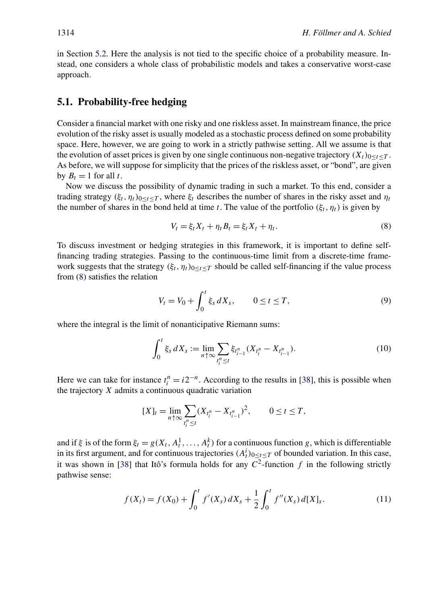<span id="page-8-0"></span>in Section [5.2.](#page-11-0) Here the analysis is not tied to the specific choice of a probability measure. Instead, one considers a whole class of probabilistic models and takes a conservative worst-case approach.

#### **5.1. Probability-free hedging**

Consider a financial market with one risky and one riskless asset. In mainstream finance, the price evolution of the risky asset is usually modeled as a stochastic process defined on some probability space. Here, however, we are going to work in a strictly pathwise setting. All we assume is that the evolution of asset prices is given by one single continuous non-negative trajectory  $(X_t)_{0 \le t \le T}$ . As before, we will suppose for simplicity that the prices of the riskless asset, or "bond", are given by  $B_t = 1$  for all *t*.

Now we discuss the possibility of dynamic trading in such a market. To this end, consider a trading strategy  $(\xi_t, \eta_t)_{0 \le t \le T}$ , where  $\xi_t$  describes the number of shares in the risky asset and  $\eta_t$ the number of shares in the bond held at time *t*. The value of the portfolio  $(\xi_t, \eta_t)$  is given by

$$
V_t = \xi_t X_t + \eta_t B_t = \xi_t X_t + \eta_t. \tag{8}
$$

To discuss investment or hedging strategies in this framework, it is important to define selffinancing trading strategies. Passing to the continuous-time limit from a discrete-time framework suggests that the strategy  $(\xi_t, \eta_t)_{0 \le t \le T}$  should be called self-financing if the value process from (8) satisfies the relation

$$
V_t = V_0 + \int_0^t \xi_s \, dX_s, \qquad 0 \le t \le T,\tag{9}
$$

where the integral is the limit of nonanticipative Riemann sums:

$$
\int_0^t \xi_s \, dX_s := \lim_{n \uparrow \infty} \sum_{\substack{t^n_i \le t}} \xi_{t^n_{i-1}} (X_{t^n_i} - X_{t^n_{i-1}}). \tag{10}
$$

Here we can take for instance  $t_i^n = i2^{-n}$ . According to the results in [\[38\]](#page-17-0), this is possible when the trajectory *X* admits a continuous quadratic variation

$$
[X]_t = \lim_{n \uparrow \infty} \sum_{t_i^n \le t} (X_{t_i^n} - X_{t_{i-1}^n})^2, \qquad 0 \le t \le T,
$$

and if  $\xi$  is of the form  $\xi_t = g(X_t, A_t^1, \ldots, A_t^k)$  for a continuous function *g*, which is differentiable in its first argument, and for continuous trajectories  $(A_t^i)_{0 \le t \le T}$  of bounded variation. In this case, it was shown in [\[38\]](#page-17-0) that Itô's formula holds for any  $C^2$ -function  $f$  in the following strictly pathwise sense:

$$
f(X_t) = f(X_0) + \int_0^t f'(X_s) \, dX_s + \frac{1}{2} \int_0^t f''(X_s) \, d[X]_s. \tag{11}
$$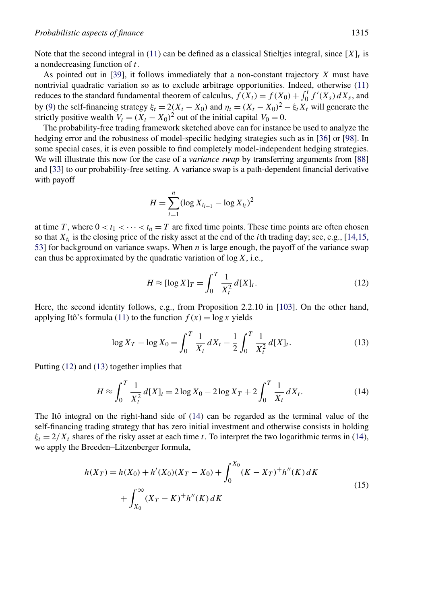#### <span id="page-9-0"></span>*Probabilistic aspects of finance* 1315

Note that the second integral in [\(11\)](#page-8-0) can be defined as a classical Stieltjes integral, since  $[X]_t$  is a nondecreasing function of *t*.

As pointed out in [\[39\]](#page-17-0), it follows immediately that a non-constant trajectory *X* must have nontrivial quadratic variation so as to exclude arbitrage opportunities. Indeed, otherwise [\(11\)](#page-8-0) reduces to the standard fundamental theorem of calculus,  $f(X_t) = f(X_0) + \int_0^t f'(X_s) dX_s$ , and by [\(9\)](#page-8-0) the self-financing strategy  $\xi_t = 2(X_t - X_0)$  and  $\eta_t = (X_t - X_0)^2 - \xi_t X_t$  will generate the strictly positive wealth  $V_t = (X_t - X_0)^2$  out of the initial capital  $V_0 = 0$ .

The probability-free trading framework sketched above can for instance be used to analyze the hedging error and the robustness of model-specific hedging strategies such as in [\[36\]](#page-17-0) or [\[98\]](#page-19-0). In some special cases, it is even possible to find completely model-independent hedging strategies. We will illustrate this now for the case of a *variance swap* by transferring arguments from [\[88\]](#page-19-0) and [\[33\]](#page-17-0) to our probability-free setting. A variance swap is a path-dependent financial derivative with payoff

$$
H = \sum_{i=1}^{n} (\log X_{t_{i+1}} - \log X_{t_i})^2
$$

at time *T*, where  $0 < t_1 < \cdots < t_n = T$  are fixed time points. These time points are often chosen so that  $X_t$  is the closing price of the risky asset at the end of the *i*th trading day; see, e.g., [\[14,15,](#page-16-0)] [53\]](#page-16-0) for background on variance swaps. When *n* is large enough, the payoff of the variance swap can thus be approximated by the quadratic variation of log*X*, i.e.,

$$
H \approx [\log X]_T = \int_0^T \frac{1}{X_t^2} d[X]_t.
$$
 (12)

Here, the second identity follows, e.g., from Proposition 2.2.10 in [\[103\]](#page-20-0). On the other hand, applying Itô's formula [\(11\)](#page-8-0) to the function  $f(x) = \log x$  yields

$$
\log X_T - \log X_0 = \int_0^T \frac{1}{X_t} dX_t - \frac{1}{2} \int_0^T \frac{1}{X_t^2} d[X]_t.
$$
 (13)

Putting (12) and (13) together implies that

$$
H \approx \int_0^T \frac{1}{X_t^2} d[X]_t = 2 \log X_0 - 2 \log X_T + 2 \int_0^T \frac{1}{X_t} dX_t.
$$
 (14)

The Itô integral on the right-hand side of (14) can be regarded as the terminal value of the self-financing trading strategy that has zero initial investment and otherwise consists in holding  $\xi_t = 2/X_t$  shares of the risky asset at each time *t*. To interpret the two logarithmic terms in (14), we apply the Breeden–Litzenberger formula,

$$
h(X_T) = h(X_0) + h'(X_0)(X_T - X_0) + \int_0^{X_0} (K - X_T)^+ h''(K) dK
$$
  
+ 
$$
\int_{X_0}^{\infty} (X_T - K)^+ h''(K) dK
$$
 (15)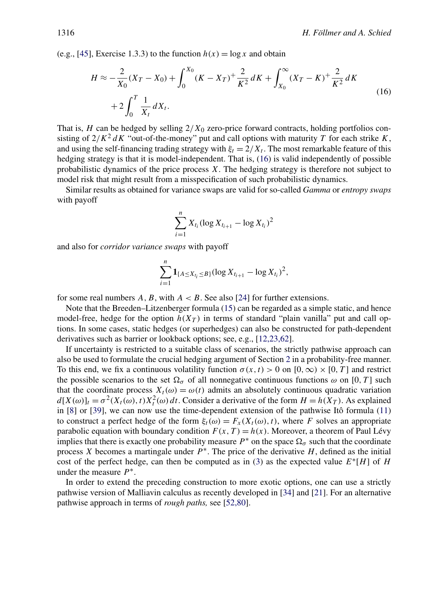(e.g., [\[45\]](#page-17-0), Exercise 1.3.3) to the function  $h(x) = \log x$  and obtain

$$
H \approx -\frac{2}{X_0}(X_T - X_0) + \int_0^{X_0} (K - X_T)^+ \frac{2}{K^2} dK + \int_{X_0}^{\infty} (X_T - K)^+ \frac{2}{K^2} dK
$$
  
+2 $\int_0^T \frac{1}{X_t} dX_t$ . (16)

That is, *H* can be hedged by selling  $2/X_0$  zero-price forward contracts, holding portfolios consisting of  $2/K^2 dK$  "out-of-the-money" put and call options with maturity *T* for each strike *K*, and using the self-financing trading strategy with  $\xi_t = 2/X_t$ . The most remarkable feature of this hedging strategy is that it is model-independent. That is, (16) is valid independently of possible probabilistic dynamics of the price process *X*. The hedging strategy is therefore not subject to model risk that might result from a misspecification of such probabilistic dynamics.

Similar results as obtained for variance swaps are valid for so-called *Gamma* or *entropy swaps* with payoff

$$
\sum_{i=1}^{n} X_{t_i} (\log X_{t_{i+1}} - \log X_{t_i})^2
$$

and also for *corridor variance swaps* with payoff

$$
\sum_{i=1}^n \mathbf{1}_{\{A \le X_{t_i} \le B\}} (\log X_{t_{i+1}} - \log X_{t_i})^2,
$$

for some real numbers  $A, B$ , with  $A < B$ . See also [\[24\]](#page-16-0) for further extensions.

Note that the Breeden–Litzenberger formula [\(15\)](#page-9-0) can be regarded as a simple static, and hence model-free, hedge for the option  $h(X_T)$  in terms of standard "plain vanilla" put and call options. In some cases, static hedges (or superhedges) can also be constructed for path-dependent derivatives such as barrier or lookback options; see, e.g., [\[12,23,62\]](#page-16-0).

If uncertainty is restricted to a suitable class of scenarios, the strictly pathwise approach can also be used to formulate the crucial hedging argument of Section [2](#page-2-0) in a probability-free manner. To this end, we fix a continuous volatility function  $\sigma(x, t) > 0$  on  $[0, \infty) \times [0, T]$  and restrict the possible scenarios to the set  $\Omega_{\sigma}$  of all nonnegative continuous functions  $\omega$  on [0, T] such that the coordinate process  $X_t(\omega) = \omega(t)$  admits an absolutely continuous quadratic variation  $d[X(\omega)]_t = \sigma^2(X_t(\omega), t)X_t^2(\omega) dt$ . Consider a derivative of the form  $H = h(X_T)$ . As explained in [\[8\]](#page-16-0) or [\[39\]](#page-17-0), we can now use the time-dependent extension of the pathwise Itô formula [\(11\)](#page-8-0) to construct a perfect hedge of the form  $\xi_t(\omega) = F_x(X_t(\omega), t)$ , where *F* solves an appropriate parabolic equation with boundary condition  $F(x, T) = h(x)$ . Moreover, a theorem of Paul Lévy implies that there is exactly one probability measure  $P^*$  on the space  $\Omega_{\sigma}$  such that the coordinate process *X* becomes a martingale under *P*∗. The price of the derivative *H*, defined as the initial cost of the perfect hedge, can then be computed as in [\(3\)](#page-3-0) as the expected value  $E^*[H]$  of *H* under the measure *P*∗.

In order to extend the preceding construction to more exotic options, one can use a strictly pathwise version of Malliavin calculus as recently developed in [\[34\]](#page-17-0) and [\[21\]](#page-16-0). For an alternative pathwise approach in terms of *rough paths,* see [\[52,80\]](#page-17-0).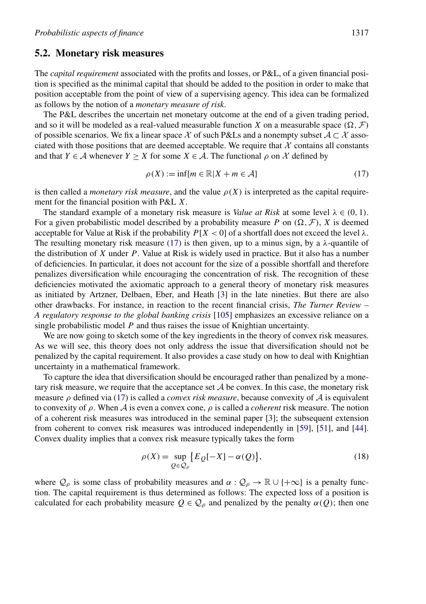#### <span id="page-11-0"></span>**5.2. Monetary risk measures**

The *capital requirement* associated with the profits and losses, or P&L, of a given financial position is specified as the minimal capital that should be added to the position in order to make that position acceptable from the point of view of a supervising agency. This idea can be formalized as follows by the notion of a *monetary measure of risk*.

The P&L describes the uncertain net monetary outcome at the end of a given trading period, and so it will be modeled as a real-valued measurable function *X* on a measurable space  $(\Omega, \mathcal{F})$ of possible scenarios. We fix a linear space X of such P&Ls and a nonempty subset  $A \subset \mathcal{X}$  associated with those positions that are deemed acceptable. We require that  $\mathcal X$  contains all constants and that *Y*  $\in$  *A* whenever *Y* > *X* for some *X*  $\in$  *A*. The functional  $\rho$  on *X* defined by

$$
\rho(X) := \inf\{m \in \mathbb{R} | X + m \in \mathcal{A}\}\tag{17}
$$

is then called a *monetary risk measure*, and the value  $\rho(X)$  is interpreted as the capital requirement for the financial position with P&L *X*.

The standard example of a monetary risk measure is *Value at Risk* at some level  $\lambda \in (0, 1)$ . For a given probabilistic model described by a probability measure *P* on  $(\Omega, \mathcal{F})$ , *X* is deemed acceptable for Value at Risk if the probability  $P[X < 0]$  of a shortfall does not exceed the level  $\lambda$ . The resulting monetary risk measure (17) is then given, up to a minus sign, by a  $\lambda$ -quantile of the distribution of *X* under *P* . Value at Risk is widely used in practice. But it also has a number of deficiencies. In particular, it does not account for the size of a possible shortfall and therefore penalizes diversification while encouraging the concentration of risk. The recognition of these deficiencies motivated the axiomatic approach to a general theory of monetary risk measures as initiated by Artzner, Delbaen, Eber, and Heath [\[3\]](#page-15-0) in the late nineties. But there are also other drawbacks. For instance, in reaction to the recent financial crisis, *The Turner Review – A regulatory response to the global banking crisis* [\[105\]](#page-20-0) emphasizes an excessive reliance on a single probabilistic model *P* and thus raises the issue of Knightian uncertainty.

We are now going to sketch some of the key ingredients in the theory of convex risk measures. As we will see, this theory does not only address the issue that diversification should not be penalized by the capital requirement. It also provides a case study on how to deal with Knightian uncertainty in a mathematical framework.

To capture the idea that diversification should be encouraged rather than penalized by a monetary risk measure, we require that the acceptance set  $A$  be convex. In this case, the monetary risk measure *ρ* defined via (17) is called a *convex risk measure*, because convexity of A is equivalent to convexity of *ρ*. When A is even a convex cone, *ρ* is called a *coherent* risk measure. The notion of a coherent risk measures was introduced in the seminal paper [\[3\]](#page-15-0); the subsequent extension from coherent to convex risk measures was introduced independently in [\[59\]](#page-18-0), [\[51\]](#page-17-0), and [\[44\]](#page-17-0). Convex duality implies that a convex risk measure typically takes the form

$$
\rho(X) = \sup_{Q \in \mathcal{Q}_{\rho}} \{ E_Q[-X] - \alpha(Q) \},\tag{18}
$$

where  $Q_\rho$  is some class of probability measures and  $\alpha: Q_\rho \to \mathbb{R} \cup \{+\infty\}$  is a penalty function. The capital requirement is thus determined as follows: The expected loss of a position is calculated for each probability measure  $Q \in \mathcal{Q}_\rho$  and penalized by the penalty  $\alpha(Q)$ ; then one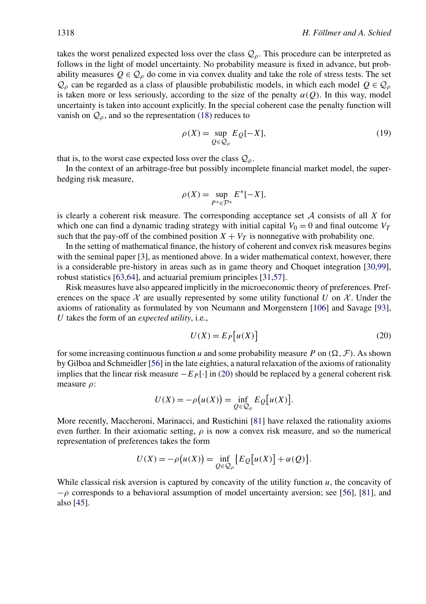takes the worst penalized expected loss over the class  $\mathcal{Q}_\rho$ . This procedure can be interpreted as follows in the light of model uncertainty. No probability measure is fixed in advance, but probability measures  $Q \in \mathcal{Q}_o$  do come in via convex duality and take the role of stress tests. The set  $Q_\rho$  can be regarded as a class of plausible probabilistic models, in which each model  $Q \in Q_\rho$ is taken more or less seriously, according to the size of the penalty  $\alpha(Q)$ . In this way, model uncertainty is taken into account explicitly. In the special coherent case the penalty function will vanish on  $\mathcal{Q}_{\rho}$ , and so the representation [\(18\)](#page-11-0) reduces to

$$
\rho(X) = \sup_{Q \in \mathcal{Q}_{\rho}} E_Q[-X],\tag{19}
$$

that is, to the worst case expected loss over the class  $Q_\rho$ .

In the context of an arbitrage-free but possibly incomplete financial market model, the superhedging risk measure,

$$
\rho(X) = \sup_{P^* \in \mathcal{P}^*} E^*[-X],
$$

is clearly a coherent risk measure. The corresponding acceptance set A consists of all *X* for which one can find a dynamic trading strategy with initial capital  $V_0 = 0$  and final outcome  $V_T$ such that the pay-off of the combined position  $X + V_T$  is nonnegative with probability one.

In the setting of mathematical finance, the history of coherent and convex risk measures begins with the seminal paper [\[3\]](#page-15-0), as mentioned above. In a wider mathematical context, however, there is a considerable pre-history in areas such as in game theory and Choquet integration [\[30,99\]](#page-16-0), robust statistics [\[63,64\]](#page-18-0), and actuarial premium principles [\[31,57\]](#page-17-0).

Risk measures have also appeared implicitly in the microeconomic theory of preferences. Preferences on the space  $\mathcal X$  are usually represented by some utility functional  $U$  on  $\mathcal X$ . Under the axioms of rationality as formulated by von Neumann and Morgenstern [\[106\]](#page-20-0) and Savage [\[93\]](#page-19-0), *U* takes the form of an *expected utility*, i.e.,

$$
U(X) = E_P[u(X)]\tag{20}
$$

for some increasing continuous function *u* and some probability measure *P* on  $(\Omega, \mathcal{F})$ . As shown by Gilboa and Schmeidler [\[56\]](#page-18-0) in the late eighties, a natural relaxation of the axioms of rationality implies that the linear risk measure −*EP* [·] in (20) should be replaced by a general coherent risk measure *ρ*:

$$
U(X) = -\rho(u(X)) = \inf_{Q \in \mathcal{Q}_{\rho}} E_Q[u(X)].
$$

More recently, Maccheroni, Marinacci, and Rustichini [\[81\]](#page-19-0) have relaxed the rationality axioms even further. In their axiomatic setting,  $\rho$  is now a convex risk measure, and so the numerical representation of preferences takes the form

$$
U(X) = -\rho(u(X)) = \inf_{Q \in \mathcal{Q}_{\rho}} \{ E_Q[u(X)] + \alpha(Q) \}.
$$

While classical risk aversion is captured by concavity of the utility function  $u$ , the concavity of −*ρ* corresponds to a behavioral assumption of model uncertainty aversion; see [\[56\]](#page-18-0), [\[81\]](#page-19-0), and also [\[45\]](#page-17-0).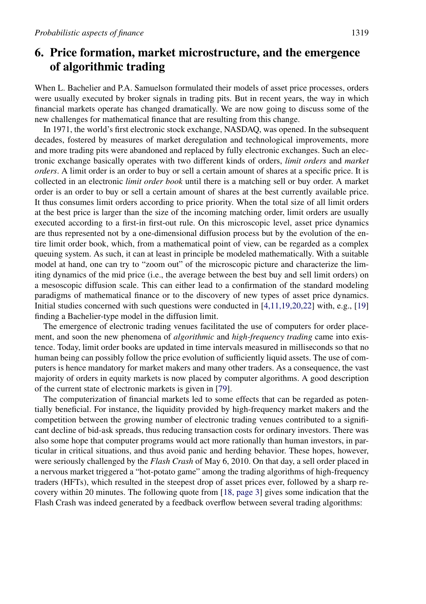## <span id="page-13-0"></span>**6. Price formation, market microstructure, and the emergence of algorithmic trading**

When L. Bachelier and P.A. Samuelson formulated their models of asset price processes, orders were usually executed by broker signals in trading pits. But in recent years, the way in which financial markets operate has changed dramatically. We are now going to discuss some of the new challenges for mathematical finance that are resulting from this change.

In 1971, the world's first electronic stock exchange, NASDAQ, was opened. In the subsequent decades, fostered by measures of market deregulation and technological improvements, more and more trading pits were abandoned and replaced by fully electronic exchanges. Such an electronic exchange basically operates with two different kinds of orders, *limit orders* and *market orders*. A limit order is an order to buy or sell a certain amount of shares at a specific price. It is collected in an electronic *limit order book* until there is a matching sell or buy order. A market order is an order to buy or sell a certain amount of shares at the best currently available price. It thus consumes limit orders according to price priority. When the total size of all limit orders at the best price is larger than the size of the incoming matching order, limit orders are usually executed according to a first-in first-out rule. On this microscopic level, asset price dynamics are thus represented not by a one-dimensional diffusion process but by the evolution of the entire limit order book, which, from a mathematical point of view, can be regarded as a complex queuing system. As such, it can at least in principle be modeled mathematically. With a suitable model at hand, one can try to "zoom out" of the microscopic picture and characterize the limiting dynamics of the mid price (i.e., the average between the best buy and sell limit orders) on a mesoscopic diffusion scale. This can either lead to a confirmation of the standard modeling paradigms of mathematical finance or to the discovery of new types of asset price dynamics. Initial studies concerned with such questions were conducted in [\[4,11,19,20,22\]](#page-15-0) with, e.g., [\[19\]](#page-16-0) finding a Bachelier-type model in the diffusion limit.

The emergence of electronic trading venues facilitated the use of computers for order placement, and soon the new phenomena of *algorithmic* and *high-frequency trading* came into existence. Today, limit order books are updated in time intervals measured in milliseconds so that no human being can possibly follow the price evolution of sufficiently liquid assets. The use of computers is hence mandatory for market makers and many other traders. As a consequence, the vast majority of orders in equity markets is now placed by computer algorithms. A good description of the current state of electronic markets is given in [\[79\]](#page-19-0).

The computerization of financial markets led to some effects that can be regarded as potentially beneficial. For instance, the liquidity provided by high-frequency market makers and the competition between the growing number of electronic trading venues contributed to a significant decline of bid-ask spreads, thus reducing transaction costs for ordinary investors. There was also some hope that computer programs would act more rationally than human investors, in particular in critical situations, and thus avoid panic and herding behavior. These hopes, however, were seriously challenged by the *Flash Crash* of May 6, 2010. On that day, a sell order placed in a nervous market triggered a "hot-potato game" among the trading algorithms of high-frequency traders (HFTs), which resulted in the steepest drop of asset prices ever, followed by a sharp recovery within 20 minutes. The following quote from [\[18, page 3\]](#page-16-0) gives some indication that the Flash Crash was indeed generated by a feedback overflow between several trading algorithms: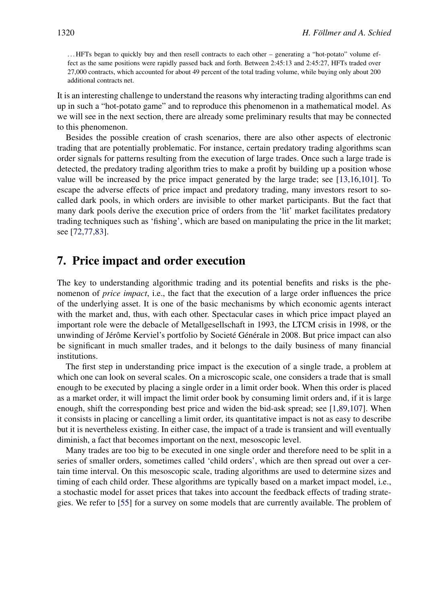<span id="page-14-0"></span>. . . HFTs began to quickly buy and then resell contracts to each other – generating a "hot-potato" volume effect as the same positions were rapidly passed back and forth. Between 2:45:13 and 2:45:27, HFTs traded over 27,000 contracts, which accounted for about 49 percent of the total trading volume, while buying only about 200 additional contracts net.

It is an interesting challenge to understand the reasons why interacting trading algorithms can end up in such a "hot-potato game" and to reproduce this phenomenon in a mathematical model. As we will see in the next section, there are already some preliminary results that may be connected to this phenomenon.

Besides the possible creation of crash scenarios, there are also other aspects of electronic trading that are potentially problematic. For instance, certain predatory trading algorithms scan order signals for patterns resulting from the execution of large trades. Once such a large trade is detected, the predatory trading algorithm tries to make a profit by building up a position whose value will be increased by the price impact generated by the large trade; see [\[13,16,101\]](#page-16-0). To escape the adverse effects of price impact and predatory trading, many investors resort to socalled dark pools, in which orders are invisible to other market participants. But the fact that many dark pools derive the execution price of orders from the 'lit' market facilitates predatory trading techniques such as 'fishing', which are based on manipulating the price in the lit market; see [\[72,77,83\]](#page-18-0).

## **7. Price impact and order execution**

The key to understanding algorithmic trading and its potential benefits and risks is the phenomenon of *price impact*, i.e., the fact that the execution of a large order influences the price of the underlying asset. It is one of the basic mechanisms by which economic agents interact with the market and, thus, with each other. Spectacular cases in which price impact played an important role were the debacle of Metallgesellschaft in 1993, the LTCM crisis in 1998, or the unwinding of Jérôme Kerviel's portfolio by Societé Générale in 2008. But price impact can also be significant in much smaller trades, and it belongs to the daily business of many financial institutions.

The first step in understanding price impact is the execution of a single trade, a problem at which one can look on several scales. On a microscopic scale, one considers a trade that is small enough to be executed by placing a single order in a limit order book. When this order is placed as a market order, it will impact the limit order book by consuming limit orders and, if it is large enough, shift the corresponding best price and widen the bid-ask spread; see [\[1,89,107\]](#page-15-0). When it consists in placing or cancelling a limit order, its quantitative impact is not as easy to describe but it is nevertheless existing. In either case, the impact of a trade is transient and will eventually diminish, a fact that becomes important on the next, mesoscopic level.

Many trades are too big to be executed in one single order and therefore need to be split in a series of smaller orders, sometimes called 'child orders', which are then spread out over a certain time interval. On this mesoscopic scale, trading algorithms are used to determine sizes and timing of each child order. These algorithms are typically based on a market impact model, i.e., a stochastic model for asset prices that takes into account the feedback effects of trading strategies. We refer to [\[55\]](#page-18-0) for a survey on some models that are currently available. The problem of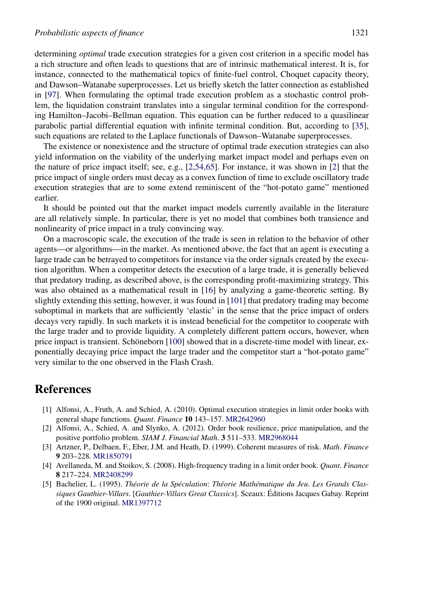<span id="page-15-0"></span>determining *optimal* trade execution strategies for a given cost criterion in a specific model has a rich structure and often leads to questions that are of intrinsic mathematical interest. It is, for instance, connected to the mathematical topics of finite-fuel control, Choquet capacity theory, and Dawson–Watanabe superprocesses. Let us briefly sketch the latter connection as established in [\[97\]](#page-19-0). When formulating the optimal trade execution problem as a stochastic control problem, the liquidation constraint translates into a singular terminal condition for the corresponding Hamilton–Jacobi–Bellman equation. This equation can be further reduced to a quasilinear parabolic partial differential equation with infinite terminal condition. But, according to [\[35\]](#page-17-0), such equations are related to the Laplace functionals of Dawson–Watanabe superprocesses.

The existence or nonexistence and the structure of optimal trade execution strategies can also yield information on the viability of the underlying market impact model and perhaps even on the nature of price impact itself; see, e.g., [2,54,65]. For instance, it was shown in [2] that the price impact of single orders must decay as a convex function of time to exclude oscillatory trade execution strategies that are to some extend reminiscent of the "hot-potato game" mentioned earlier.

It should be pointed out that the market impact models currently available in the literature are all relatively simple. In particular, there is yet no model that combines both transience and nonlinearity of price impact in a truly convincing way.

On a macroscopic scale, the execution of the trade is seen in relation to the behavior of other agents—or algorithms—in the market. As mentioned above, the fact that an agent is executing a large trade can be betrayed to competitors for instance via the order signals created by the execution algorithm. When a competitor detects the execution of a large trade, it is generally believed that predatory trading, as described above, is the corresponding profit-maximizing strategy. This was also obtained as a mathematical result in [\[16\]](#page-16-0) by analyzing a game-theoretic setting. By slightly extending this setting, however, it was found in [\[101\]](#page-19-0) that predatory trading may become suboptimal in markets that are sufficiently 'elastic' in the sense that the price impact of orders decays very rapidly. In such markets it is instead beneficial for the competitor to cooperate with the large trader and to provide liquidity. A completely different pattern occurs, however, when price impact is transient. Schöneborn [\[100\]](#page-19-0) showed that in a discrete-time model with linear, exponentially decaying price impact the large trader and the competitor start a "hot-potato game" very similar to the one observed in the Flash Crash.

## **References**

- [1] Alfonsi, A., Fruth, A. and Schied, A. (2010). Optimal execution strategies in limit order books with general shape functions. *Quant*. *Finance* **10** 143–157. [MR2642960](http://www.ams.org/mathscinet-getitem?mr=2642960)
- [2] Alfonsi, A., Schied, A. and Slynko, A. (2012). Order book resilience, price manipulation, and the positive portfolio problem. *SIAM J*. *Financial Math*. **3** 511–533. [MR2968044](http://www.ams.org/mathscinet-getitem?mr=2968044)
- [3] Artzner, P., Delbaen, F., Eber, J.M. and Heath, D. (1999). Coherent measures of risk. *Math*. *Finance* **9** 203–228. [MR1850791](http://www.ams.org/mathscinet-getitem?mr=1850791)
- [4] Avellaneda, M. and Stoikov, S. (2008). High-frequency trading in a limit order book. *Quant*. *Finance* **8** 217–224. [MR2408299](http://www.ams.org/mathscinet-getitem?mr=2408299)
- [5] Bachelier, L. (1995). *Théorie de la Spéculation*: *Théorie Mathématique du Jeu*. *Les Grands Classiques Gauthier-Villars*. [*Gauthier-Villars Great Classics*]. Sceaux: Éditions Jacques Gabay. Reprint of the 1900 original. [MR1397712](http://www.ams.org/mathscinet-getitem?mr=1397712)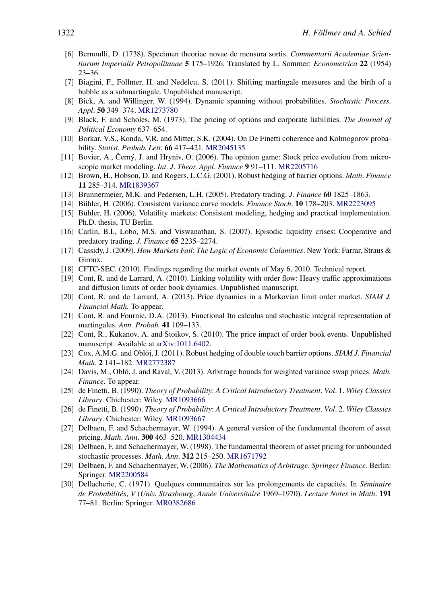- <span id="page-16-0"></span>[6] Bernoulli, D. (1738). Specimen theoriae novae de mensura sortis. *Commentarii Academiae Scientiarum Imperialis Petropolitanae* **5** 175–1926. Translated by L. Sommer: *Econometrica* **22** (1954) 23–36.
- [7] Biagini, F., Föllmer, H. and Nedelcu, S. (2011). Shifting martingale measures and the birth of a bubble as a submartingale. Unpublished manuscript.
- [8] Bick, A. and Willinger, W. (1994). Dynamic spanning without probabilities. *Stochastic Process*. *Appl*. **50** 349–374. [MR1273780](http://www.ams.org/mathscinet-getitem?mr=1273780)
- [9] Black, F. and Scholes, M. (1973). The pricing of options and corporate liabilities. *The Journal of Political Economy* 637–654.
- [10] Borkar, V.S., Konda, V.R. and Mitter, S.K. (2004). On De Finetti coherence and Kolmogorov probability. *Statist*. *Probab*. *Lett*. **66** 417–421. [MR2045135](http://www.ams.org/mathscinet-getitem?mr=2045135)
- [11] Bovier, A., Černý, J. and Hryniv, O. (2006). The opinion game: Stock price evolution from microscopic market modeling. *Int*. *J*. *Theor*. *Appl*. *Finance* **9** 91–111. [MR2205716](http://www.ams.org/mathscinet-getitem?mr=2205716)
- [12] Brown, H., Hobson, D. and Rogers, L.C.G. (2001). Robust hedging of barrier options. *Math*. *Finance* **11** 285–314. [MR1839367](http://www.ams.org/mathscinet-getitem?mr=1839367)
- [13] Brunnermeier, M.K. and Pedersen, L.H. (2005). Predatory trading. *J*. *Finance* **60** 1825–1863.
- [14] Bühler, H. (2006). Consistent variance curve models. *Finance Stoch*. **10** 178–203. [MR2223095](http://www.ams.org/mathscinet-getitem?mr=2223095)
- [15] Bühler, H. (2006). Volatility markets: Consistent modeling, hedging and practical implementation. Ph.D. thesis, TU Berlin.
- [16] Carlin, B.I., Lobo, M.S. and Viswanathan, S. (2007). Episodic liquidity crises: Cooperative and predatory trading. *J*. *Finance* **65** 2235–2274.
- [17] Cassidy, J. (2009). *How Markets Fail*: *The Logic of Economic Calamities*. New York: Farrar, Straus & Giroux.
- [18] CFTC-SEC. (2010). Findings regarding the market events of May 6, 2010. Technical report.
- [19] Cont, R. and de Larrard, A. (2010). Linking volatility with order flow: Heavy traffic approximations and diffusion limits of order book dynamics. Unpublished manuscript.
- [20] Cont, R. and de Larrard, A. (2013). Price dynamics in a Markovian limit order market. *SIAM J. Financial Math.* To appear.
- [21] Cont, R. and Fournie, D.A. (2013). Functional Ito calculus and stochastic integral representation of martingales. *Ann. Probab.* **41** 109–133.
- [22] Cont, R., Kukanov, A. and Stoikov, S. (2010). The price impact of order book events. Unpublished manuscript. Available at [arXiv:1011.6402.](http://arxiv.org/abs/arXiv:1011.6402)
- [23] Cox, A.M.G. and Obłój, J. (2011). Robust hedging of double touch barrier options. *SIAM J*. *Financial Math*. **2** 141–182. [MR2772387](http://www.ams.org/mathscinet-getitem?mr=2772387)
- [24] Davis, M., Obłó, J. and Raval, V. (2013). Arbitrage bounds for weighted variance swap prices. *Math. Finance*. To appear.
- [25] de Finetti, B. (1990). *Theory of Probability*: *A Critical Introductory Treatment*. *Vol*. 1. *Wiley Classics Library*. Chichester: Wiley. [MR1093666](http://www.ams.org/mathscinet-getitem?mr=1093666)
- [26] de Finetti, B. (1990). *Theory of Probability*: *A Critical Introductory Treatment*. *Vol*. 2. *Wiley Classics Library*. Chichester: Wiley. [MR1093667](http://www.ams.org/mathscinet-getitem?mr=1093667)
- [27] Delbaen, F. and Schachermayer, W. (1994). A general version of the fundamental theorem of asset pricing. *Math*. *Ann*. **300** 463–520. [MR1304434](http://www.ams.org/mathscinet-getitem?mr=1304434)
- [28] Delbaen, F. and Schachermayer, W. (1998). The fundamental theorem of asset pricing for unbounded stochastic processes. *Math*. *Ann*. **312** 215–250. [MR1671792](http://www.ams.org/mathscinet-getitem?mr=1671792)
- [29] Delbaen, F. and Schachermayer, W. (2006). *The Mathematics of Arbitrage*. *Springer Finance*. Berlin: Springer. [MR2200584](http://www.ams.org/mathscinet-getitem?mr=2200584)
- [30] Dellacherie, C. (1971). Quelques commentaires sur les prolongements de capacités. In *Séminaire de Probabilités*, *V* (*Univ*. *Strasbourg*, *Année Universitaire* 1969*–*1970). *Lecture Notes in Math*. **191** 77–81. Berlin: Springer. [MR0382686](http://www.ams.org/mathscinet-getitem?mr=0382686)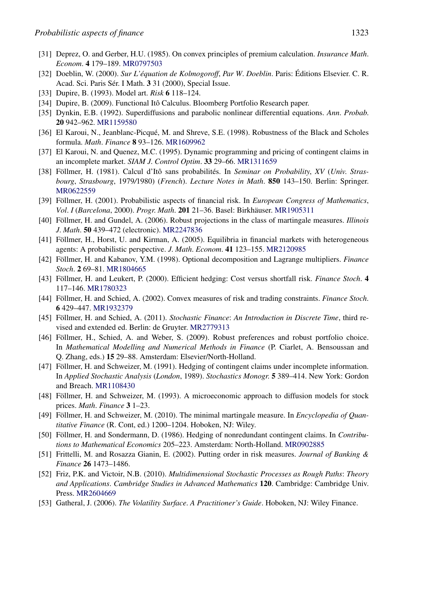- <span id="page-17-0"></span>[31] Deprez, O. and Gerber, H.U. (1985). On convex principles of premium calculation. *Insurance Math*. *Econom*. **4** 179–189. [MR0797503](http://www.ams.org/mathscinet-getitem?mr=0797503)
- [32] Doeblin, W. (2000). *Sur L'équation de Kolmogoroff*, *Par W*. *Doeblin*. Paris: Éditions Elsevier. C. R. Acad. Sci. Paris Sér. I Math. **3** 31 (2000), Special Issue.
- [33] Dupire, B. (1993). Model art. *Risk* **6** 118–124.
- [34] Dupire, B. (2009). Functional Itô Calculus. Bloomberg Portfolio Research paper.
- [35] Dynkin, E.B. (1992). Superdiffusions and parabolic nonlinear differential equations. *Ann*. *Probab*. **20** 942–962. [MR1159580](http://www.ams.org/mathscinet-getitem?mr=1159580)
- [36] El Karoui, N., Jeanblanc-Picqué, M. and Shreve, S.E. (1998). Robustness of the Black and Scholes formula. *Math*. *Finance* **8** 93–126. [MR1609962](http://www.ams.org/mathscinet-getitem?mr=1609962)
- [37] El Karoui, N. and Quenez, M.C. (1995). Dynamic programming and pricing of contingent claims in an incomplete market. *SIAM J*. *Control Optim*. **33** 29–66. [MR1311659](http://www.ams.org/mathscinet-getitem?mr=1311659)
- [38] Föllmer, H. (1981). Calcul d'Itô sans probabilités. In *Seminar on Probability*, *XV* (*Univ*. *Strasbourg*, *Strasbourg*, 1979*/*1980) (*French*). *Lecture Notes in Math*. **850** 143–150. Berlin: Springer. [MR0622559](http://www.ams.org/mathscinet-getitem?mr=0622559)
- [39] Föllmer, H. (2001). Probabilistic aspects of financial risk. In *European Congress of Mathematics*, *Vol*. *I* (*Barcelona*, 2000). *Progr*. *Math*. **201** 21–36. Basel: Birkhäuser. [MR1905311](http://www.ams.org/mathscinet-getitem?mr=1905311)
- [40] Föllmer, H. and Gundel, A. (2006). Robust projections in the class of martingale measures. *Illinois J*. *Math*. **50** 439–472 (electronic). [MR2247836](http://www.ams.org/mathscinet-getitem?mr=2247836)
- [41] Föllmer, H., Horst, U. and Kirman, A. (2005). Equilibria in financial markets with heterogeneous agents: A probabilistic perspective. *J*. *Math*. *Econom*. **41** 123–155. [MR2120985](http://www.ams.org/mathscinet-getitem?mr=2120985)
- [42] Föllmer, H. and Kabanov, Y.M. (1998). Optional decomposition and Lagrange multipliers. *Finance Stoch*. **2** 69–81. [MR1804665](http://www.ams.org/mathscinet-getitem?mr=1804665)
- [43] Föllmer, H. and Leukert, P. (2000). Efficient hedging: Cost versus shortfall risk. *Finance Stoch*. **4** 117–146. [MR1780323](http://www.ams.org/mathscinet-getitem?mr=1780323)
- [44] Föllmer, H. and Schied, A. (2002). Convex measures of risk and trading constraints. *Finance Stoch*. **6** 429–447. [MR1932379](http://www.ams.org/mathscinet-getitem?mr=1932379)
- [45] Föllmer, H. and Schied, A. (2011). *Stochastic Finance*: *An Introduction in Discrete Time*, third revised and extended ed. Berlin: de Gruyter. [MR2779313](http://www.ams.org/mathscinet-getitem?mr=2779313)
- [46] Föllmer, H., Schied, A. and Weber, S. (2009). Robust preferences and robust portfolio choice. In *Mathematical Modelling and Numerical Methods in Finance* (P. Ciarlet, A. Bensoussan and Q. Zhang, eds.) **15** 29–88. Amsterdam: Elsevier/North-Holland.
- [47] Föllmer, H. and Schweizer, M. (1991). Hedging of contingent claims under incomplete information. In *Applied Stochastic Analysis* (*London*, 1989). *Stochastics Monogr*. **5** 389–414. New York: Gordon and Breach. [MR1108430](http://www.ams.org/mathscinet-getitem?mr=1108430)
- [48] Föllmer, H. and Schweizer, M. (1993). A microeconomic approach to diffusion models for stock prices. *Math*. *Finance* **3** 1–23.
- [49] Föllmer, H. and Schweizer, M. (2010). The minimal martingale measure. In *Encyclopedia of Quantitative Finance* (R. Cont, ed.) 1200–1204. Hoboken, NJ: Wiley.
- [50] Föllmer, H. and Sondermann, D. (1986). Hedging of nonredundant contingent claims. In *Contributions to Mathematical Economics* 205–223. Amsterdam: North-Holland. [MR0902885](http://www.ams.org/mathscinet-getitem?mr=0902885)
- [51] Frittelli, M. and Rosazza Gianin, E. (2002). Putting order in risk measures. *Journal of Banking & Finance* **26** 1473–1486.
- [52] Friz, P.K. and Victoir, N.B. (2010). *Multidimensional Stochastic Processes as Rough Paths*: *Theory and Applications*. *Cambridge Studies in Advanced Mathematics* **120**. Cambridge: Cambridge Univ. Press. [MR2604669](http://www.ams.org/mathscinet-getitem?mr=2604669)
- [53] Gatheral, J. (2006). *The Volatility Surface*. *A Practitioner's Guide*. Hoboken, NJ: Wiley Finance.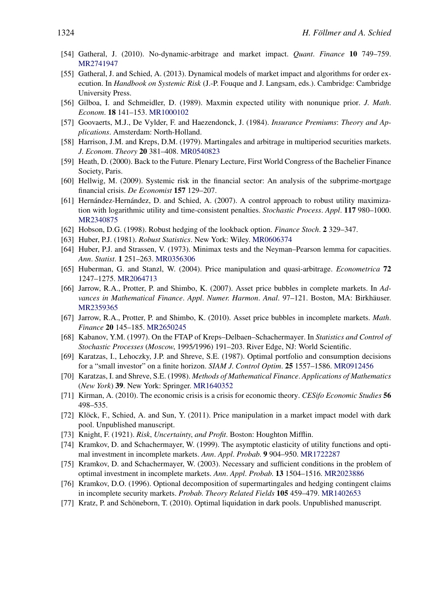- <span id="page-18-0"></span>[54] Gatheral, J. (2010). No-dynamic-arbitrage and market impact. *Quant*. *Finance* **10** 749–759. [MR2741947](http://www.ams.org/mathscinet-getitem?mr=2741947)
- [55] Gatheral, J. and Schied, A. (2013). Dynamical models of market impact and algorithms for order execution. In *Handbook on Systemic Risk* (J.-P. Fouque and J. Langsam, eds.). Cambridge: Cambridge University Press.
- [56] Gilboa, I. and Schmeidler, D. (1989). Maxmin expected utility with nonunique prior. *J*. *Math*. *Econom*. **18** 141–153. [MR1000102](http://www.ams.org/mathscinet-getitem?mr=1000102)
- [57] Goovaerts, M.J., De Vylder, F. and Haezendonck, J. (1984). *Insurance Premiums*: *Theory and Applications*. Amsterdam: North-Holland.
- [58] Harrison, J.M. and Kreps, D.M. (1979). Martingales and arbitrage in multiperiod securities markets. *J*. *Econom*. *Theory* **20** 381–408. [MR0540823](http://www.ams.org/mathscinet-getitem?mr=0540823)
- [59] Heath, D. (2000). Back to the Future. Plenary Lecture, First World Congress of the Bachelier Finance Society, Paris.
- [60] Hellwig, M. (2009). Systemic risk in the financial sector: An analysis of the subprime-mortgage financial crisis. *De Economist* **157** 129–207.
- [61] Hernández-Hernández, D. and Schied, A. (2007). A control approach to robust utility maximization with logarithmic utility and time-consistent penalties. *Stochastic Process*. *Appl*. **117** 980–1000. [MR2340875](http://www.ams.org/mathscinet-getitem?mr=2340875)
- [62] Hobson, D.G. (1998). Robust hedging of the lookback option. *Finance Stoch*. **2** 329–347.
- [63] Huber, P.J. (1981). *Robust Statistics*. New York: Wiley. [MR0606374](http://www.ams.org/mathscinet-getitem?mr=0606374)
- [64] Huber, P.J. and Strassen, V. (1973). Minimax tests and the Neyman–Pearson lemma for capacities. *Ann*. *Statist*. **1** 251–263. [MR0356306](http://www.ams.org/mathscinet-getitem?mr=0356306)
- [65] Huberman, G. and Stanzl, W. (2004). Price manipulation and quasi-arbitrage. *Econometrica* **72** 1247–1275. [MR2064713](http://www.ams.org/mathscinet-getitem?mr=2064713)
- [66] Jarrow, R.A., Protter, P. and Shimbo, K. (2007). Asset price bubbles in complete markets. In *Advances in Mathematical Finance*. *Appl*. *Numer*. *Harmon*. *Anal*. 97–121. Boston, MA: Birkhäuser. [MR2359365](http://www.ams.org/mathscinet-getitem?mr=2359365)
- [67] Jarrow, R.A., Protter, P. and Shimbo, K. (2010). Asset price bubbles in incomplete markets. *Math*. *Finance* **20** 145–185. [MR2650245](http://www.ams.org/mathscinet-getitem?mr=2650245)
- [68] Kabanov, Y.M. (1997). On the FTAP of Kreps–Delbaen–Schachermayer. In *Statistics and Control of Stochastic Processes* (*Moscow*, 1995*/*1996) 191–203. River Edge, NJ: World Scientific.
- [69] Karatzas, I., Lehoczky, J.P. and Shreve, S.E. (1987). Optimal portfolio and consumption decisions for a "small investor" on a finite horizon. *SIAM J*. *Control Optim*. **25** 1557–1586. [MR0912456](http://www.ams.org/mathscinet-getitem?mr=0912456)
- [70] Karatzas, I. and Shreve, S.E. (1998). *Methods of Mathematical Finance*. *Applications of Mathematics* (*New York*) **39**. New York: Springer. [MR1640352](http://www.ams.org/mathscinet-getitem?mr=1640352)
- [71] Kirman, A. (2010). The economic crisis is a crisis for economic theory. *CESifo Economic Studies* **56** 498–535.
- [72] Klöck, F., Schied, A. and Sun, Y. (2011). Price manipulation in a market impact model with dark pool. Unpublished manuscript.
- [73] Knight, F. (1921). *Risk*, *Uncertainty*, *and Profit*. Boston: Houghton Mifflin.
- [74] Kramkov, D. and Schachermayer, W. (1999). The asymptotic elasticity of utility functions and optimal investment in incomplete markets. *Ann*. *Appl*. *Probab*. **9** 904–950. [MR1722287](http://www.ams.org/mathscinet-getitem?mr=1722287)
- [75] Kramkov, D. and Schachermayer, W. (2003). Necessary and sufficient conditions in the problem of optimal investment in incomplete markets. *Ann*. *Appl*. *Probab*. **13** 1504–1516. [MR2023886](http://www.ams.org/mathscinet-getitem?mr=2023886)
- [76] Kramkov, D.O. (1996). Optional decomposition of supermartingales and hedging contingent claims in incomplete security markets. *Probab*. *Theory Related Fields* **105** 459–479. [MR1402653](http://www.ams.org/mathscinet-getitem?mr=1402653)
- [77] Kratz, P. and Schöneborn, T. (2010). Optimal liquidation in dark pools. Unpublished manuscript.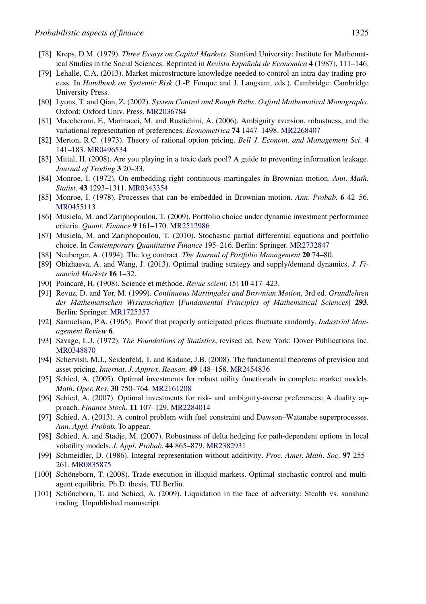- <span id="page-19-0"></span>[78] Kreps, D.M. (1979). *Three Essays on Capital Markets*. Stanford University: Institute for Mathematical Studies in the Social Sciences. Reprinted in *Revista Española de Economica* **4** (1987), 111–146.
- [79] Lehalle, C.A. (2013). Market microstructure knowledge needed to control an intra-day trading process. In *Handbook on Systemic Risk* (J.-P. Fouque and J. Langsam, eds.). Cambridge: Cambridge University Press.
- [80] Lyons, T. and Qian, Z. (2002). *System Control and Rough Paths*. *Oxford Mathematical Monographs*. Oxford: Oxford Univ. Press. [MR2036784](http://www.ams.org/mathscinet-getitem?mr=2036784)
- [81] Maccheroni, F., Marinacci, M. and Rustichini, A. (2006). Ambiguity aversion, robustness, and the variational representation of preferences. *Econometrica* **74** 1447–1498. [MR2268407](http://www.ams.org/mathscinet-getitem?mr=2268407)
- [82] Merton, R.C. (1973). Theory of rational option pricing. *Bell J*. *Econom*. *and Management Sci*. **4** 141–183. [MR0496534](http://www.ams.org/mathscinet-getitem?mr=0496534)
- [83] Mittal, H. (2008). Are you playing in a toxic dark pool? A guide to preventing information leakage. *Journal of Trading* **3** 20–33.
- [84] Monroe, I. (1972). On embedding right continuous martingales in Brownian motion. *Ann*. *Math*. *Statist*. **43** 1293–1311. [MR0343354](http://www.ams.org/mathscinet-getitem?mr=0343354)
- [85] Monroe, I. (1978). Processes that can be embedded in Brownian motion. *Ann*. *Probab*. **6** 42–56. [MR0455113](http://www.ams.org/mathscinet-getitem?mr=0455113)
- [86] Musiela, M. and Zariphopoulou, T. (2009). Portfolio choice under dynamic investment performance criteria. *Quant*. *Finance* **9** 161–170. [MR2512986](http://www.ams.org/mathscinet-getitem?mr=2512986)
- [87] Musiela, M. and Zariphopoulou, T. (2010). Stochastic partial differential equations and portfolio choice. In *Contemporary Quantitative Finance* 195–216. Berlin: Springer. [MR2732847](http://www.ams.org/mathscinet-getitem?mr=2732847)
- [88] Neuberger, A. (1994). The log contract. *The Journal of Portfolio Management* **20** 74–80.
- [89] Obizhaeva, A. and Wang, J. (2013). Optimal trading strategy and supply/demand dynamics. *J*. *Financial Markets* **16** 1–32.
- [90] Poincaré, H. (1908). Science et méthode. *Revue scient*. (5) **10** 417–423.
- [91] Revuz, D. and Yor, M. (1999). *Continuous Martingales and Brownian Motion*, 3rd ed. *Grundlehren der Mathematischen Wissenschaften* [*Fundamental Principles of Mathematical Sciences*] **293**. Berlin: Springer. [MR1725357](http://www.ams.org/mathscinet-getitem?mr=1725357)
- [92] Samuelson, P.A. (1965). Proof that properly anticipated prices fluctuate randomly. *Industrial Management Review* **6**.
- [93] Savage, L.J. (1972). *The Foundations of Statistics*, revised ed. New York: Dover Publications Inc. [MR0348870](http://www.ams.org/mathscinet-getitem?mr=0348870)
- [94] Schervish, M.J., Seidenfeld, T. and Kadane, J.B. (2008). The fundamental theorems of prevision and asset pricing. *Internat*. *J*. *Approx*. *Reason*. **49** 148–158. [MR2454836](http://www.ams.org/mathscinet-getitem?mr=2454836)
- [95] Schied, A. (2005). Optimal investments for robust utility functionals in complete market models. *Math*. *Oper*. *Res*. **30** 750–764. [MR2161208](http://www.ams.org/mathscinet-getitem?mr=2161208)
- [96] Schied, A. (2007). Optimal investments for risk- and ambiguity-averse preferences: A duality approach. *Finance Stoch*. **11** 107–129. [MR2284014](http://www.ams.org/mathscinet-getitem?mr=2284014)
- [97] Schied, A. (2013). A control problem with fuel constraint and Dawson–Watanabe superprocesses. *Ann. Appl. Probab.* To appear.
- [98] Schied, A. and Stadje, M. (2007). Robustness of delta hedging for path-dependent options in local volatility models. *J*. *Appl*. *Probab*. **44** 865–879. [MR2382931](http://www.ams.org/mathscinet-getitem?mr=2382931)
- [99] Schmeidler, D. (1986). Integral representation without additivity. *Proc*. *Amer*. *Math*. *Soc*. **97** 255– 261. [MR0835875](http://www.ams.org/mathscinet-getitem?mr=0835875)
- [100] Schöneborn, T. (2008). Trade execution in illiquid markets. Optimal stochastic control and multiagent equilibria. Ph.D. thesis, TU Berlin.
- [101] Schöneborn, T. and Schied, A. (2009). Liquidation in the face of adversity: Stealth vs. sunshine trading. Unpublished manuscript.